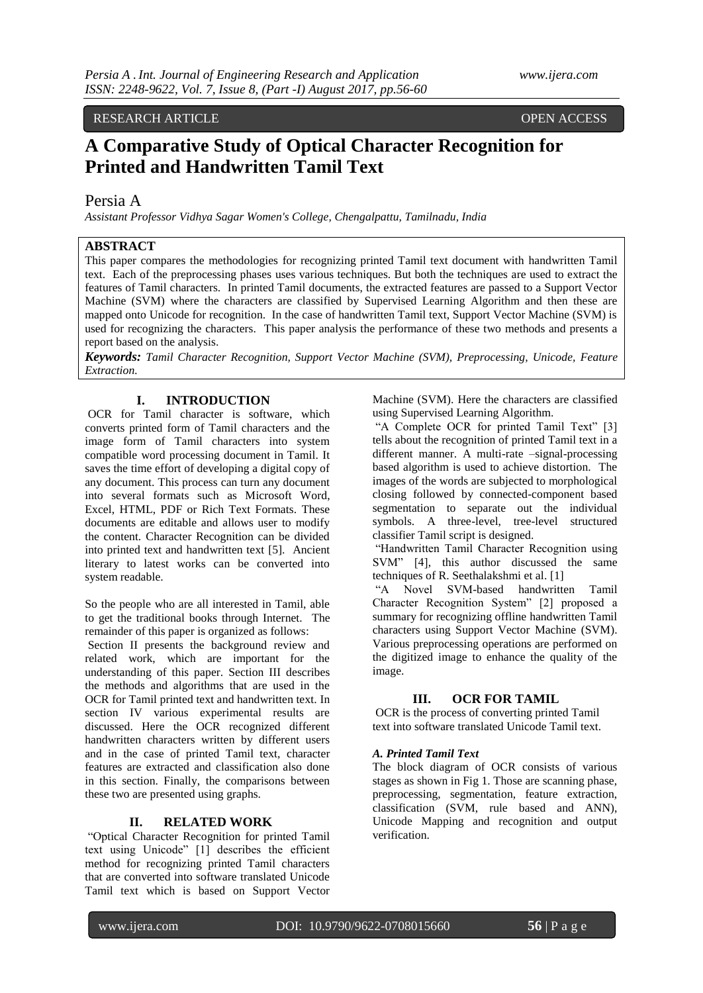#### RESEARCH ARTICLE OPEN ACCESS

# **A Comparative Study of Optical Character Recognition for Printed and Handwritten Tamil Text**

Persia A

*Assistant Professor Vidhya Sagar Women's College, Chengalpattu, Tamilnadu, India*

# **ABSTRACT**

This paper compares the methodologies for recognizing printed Tamil text document with handwritten Tamil text. Each of the preprocessing phases uses various techniques. But both the techniques are used to extract the features of Tamil characters. In printed Tamil documents, the extracted features are passed to a Support Vector Machine (SVM) where the characters are classified by Supervised Learning Algorithm and then these are mapped onto Unicode for recognition. In the case of handwritten Tamil text, Support Vector Machine (SVM) is used for recognizing the characters. This paper analysis the performance of these two methods and presents a report based on the analysis.

*Keywords: Tamil Character Recognition, Support Vector Machine (SVM), Preprocessing, Unicode, Feature Extraction.*

# **I. INTRODUCTION**

OCR for Tamil character is software, which converts printed form of Tamil characters and the image form of Tamil characters into system compatible word processing document in Tamil. It saves the time effort of developing a digital copy of any document. This process can turn any document into several formats such as Microsoft Word, Excel, HTML, PDF or Rich Text Formats. These documents are editable and allows user to modify the content. Character Recognition can be divided into printed text and handwritten text [5]. Ancient literary to latest works can be converted into system readable.

So the people who are all interested in Tamil, able to get the traditional books through Internet. The remainder of this paper is organized as follows:

Section II presents the background review and related work, which are important for the understanding of this paper. Section III describes the methods and algorithms that are used in the OCR for Tamil printed text and handwritten text. In section IV various experimental results are discussed. Here the OCR recognized different handwritten characters written by different users and in the case of printed Tamil text, character features are extracted and classification also done in this section. Finally, the comparisons between these two are presented using graphs.

# **II. RELATED WORK**

"Optical Character Recognition for printed Tamil text using Unicode" [1] describes the efficient method for recognizing printed Tamil characters that are converted into software translated Unicode Tamil text which is based on Support Vector Machine (SVM). Here the characters are classified using Supervised Learning Algorithm.

"A Complete OCR for printed Tamil Text" [3] tells about the recognition of printed Tamil text in a different manner. A multi-rate –signal-processing based algorithm is used to achieve distortion. The images of the words are subjected to morphological closing followed by connected-component based segmentation to separate out the individual symbols. A three-level, tree-level structured classifier Tamil script is designed.

"Handwritten Tamil Character Recognition using SVM" [4], this author discussed the same techniques of R. Seethalakshmi et al. [1]

"A Novel SVM-based handwritten Tamil Character Recognition System" [2] proposed a summary for recognizing offline handwritten Tamil characters using Support Vector Machine (SVM). Various preprocessing operations are performed on the digitized image to enhance the quality of the image.

### **III. OCR FOR TAMIL**

OCR is the process of converting printed Tamil text into software translated Unicode Tamil text.

#### *A. Printed Tamil Text*

The block diagram of OCR consists of various stages as shown in Fig 1. Those are scanning phase, preprocessing, segmentation, feature extraction, classification (SVM, rule based and ANN), Unicode Mapping and recognition and output verification.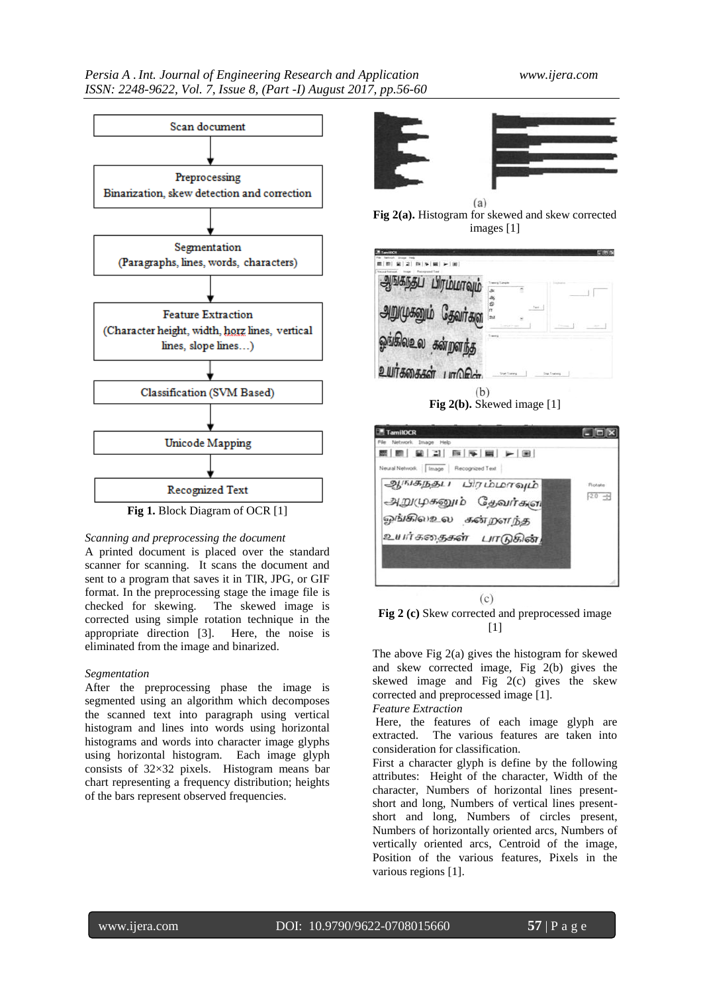

#### *Scanning and preprocessing the document*

A printed document is placed over the standard scanner for scanning. It scans the document and sent to a program that saves it in TIR, JPG, or GIF format. In the preprocessing stage the image file is checked for skewing. The skewed image is corrected using simple rotation technique in the appropriate direction [3]. Here, the noise is eliminated from the image and binarized.

#### *Segmentation*

After the preprocessing phase the image is segmented using an algorithm which decomposes the scanned text into paragraph using vertical histogram and lines into words using horizontal histograms and words into character image glyphs using horizontal histogram. Each image glyph consists of 32×32 pixels. Histogram means bar chart representing a frequency distribution; heights of the bars represent observed frequencies.





 $(a)$ **Fig 2(a).** Histogram for skewed and skew corrected images [1]

| தப் பிரம்மாவும்          |                                     |        |  |
|--------------------------|-------------------------------------|--------|--|
| அறுமுகனும் தேவர்கள       | $\mathbf{a}$                        | Taxi - |  |
| ஓங்கிலஉல கன்றளந்த        |                                     |        |  |
| உயர்க்கைகள்<br>$m\Omega$ | <b><i><u>Inset Training</u></i></b> |        |  |

**Fig 2(b).** Skewed image [1]





The above Fig 2(a) gives the histogram for skewed and skew corrected image, Fig 2(b) gives the skewed image and Fig 2(c) gives the skew corrected and preprocessed image [1].

### *Feature Extraction*

Here, the features of each image glyph are extracted. The various features are taken into consideration for classification.

First a character glyph is define by the following attributes: Height of the character, Width of the character, Numbers of horizontal lines presentshort and long, Numbers of vertical lines presentshort and long, Numbers of circles present, Numbers of horizontally oriented arcs, Numbers of vertically oriented arcs, Centroid of the image, Position of the various features, Pixels in the various regions [1].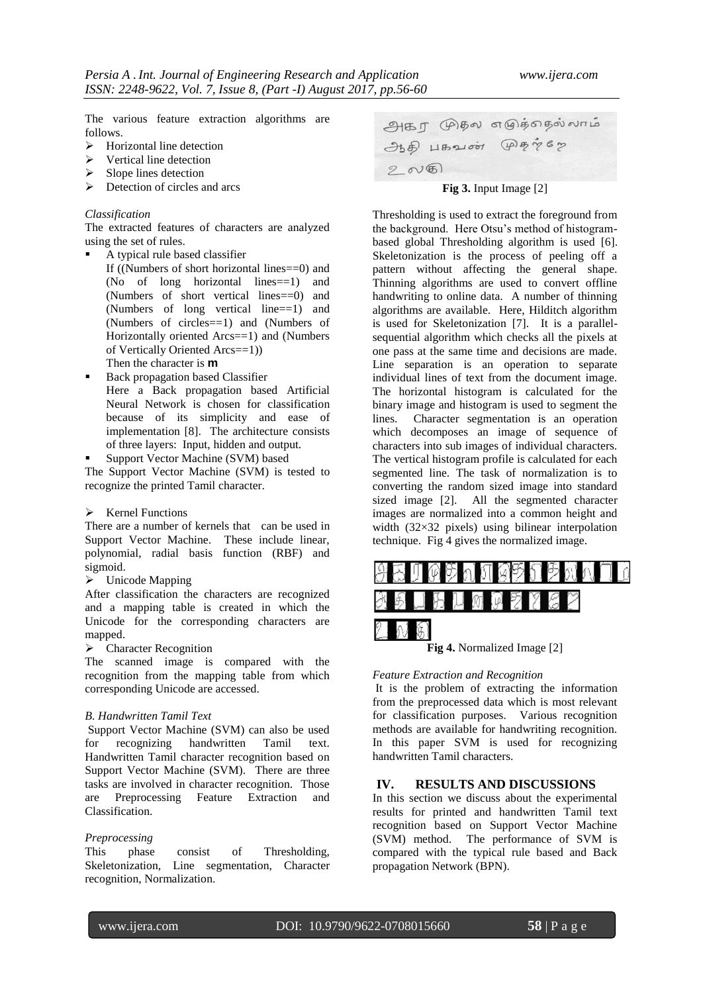The various feature extraction algorithms are follows.

- $\triangleright$  Horizontal line detection
- $\triangleright$  Vertical line detection
- $\triangleright$  Slope lines detection
- $\triangleright$  Detection of circles and arcs

### *Classification*

The extracted features of characters are analyzed using the set of rules.

- A typical rule based classifier If ((Numbers of short horizontal lines==0) and (No of long horizontal lines==1) and (Numbers of short vertical lines==0) and (Numbers of long vertical line==1) and (Numbers of circles==1) and (Numbers of Horizontally oriented Arcs==1) and (Numbers of Vertically Oriented Arcs==1))
	- Then the character is **m**
- Back propagation based Classifier Here a Back propagation based Artificial Neural Network is chosen for classification because of its simplicity and ease of implementation [8]. The architecture consists of three layers: Input, hidden and output.
- Support Vector Machine (SVM) based

The Support Vector Machine (SVM) is tested to recognize the printed Tamil character.

 $\triangleright$  Kernel Functions

There are a number of kernels that can be used in Support Vector Machine. These include linear, polynomial, radial basis function (RBF) and sigmoid.

Unicode Mapping

After classification the characters are recognized and a mapping table is created in which the Unicode for the corresponding characters are mapped.

> Character Recognition

The scanned image is compared with the recognition from the mapping table from which corresponding Unicode are accessed.

#### *B. Handwritten Tamil Text*

Support Vector Machine (SVM) can also be used for recognizing handwritten Tamil text. Handwritten Tamil character recognition based on Support Vector Machine (SVM). There are three tasks are involved in character recognition. Those are Preprocessing Feature Extraction and Classification.

#### *Preprocessing*

This phase consist of Thresholding, Skeletonization, Line segmentation, Character recognition, Normalization.

அகர முதல எழுத்தைல்லாம்  $\partial b\hat{\theta}$  HB21001  $\mathcal{P}\hat{\theta}$   $\gamma$ 67  $200$ 

## **Fig 3.** Input Image [2]

Thresholding is used to extract the foreground from the background. Here Otsu's method of histogrambased global Thresholding algorithm is used [6]. Skeletonization is the process of peeling off a pattern without affecting the general shape. Thinning algorithms are used to convert offline handwriting to online data. A number of thinning algorithms are available. Here, Hilditch algorithm is used for Skeletonization [7]. It is a parallelsequential algorithm which checks all the pixels at one pass at the same time and decisions are made. Line separation is an operation to separate individual lines of text from the document image. The horizontal histogram is calculated for the binary image and histogram is used to segment the lines. Character segmentation is an operation which decomposes an image of sequence of characters into sub images of individual characters. The vertical histogram profile is calculated for each segmented line. The task of normalization is to converting the random sized image into standard sized image [2]. All the segmented character images are normalized into a common height and width (32×32 pixels) using bilinear interpolation technique. Fig 4 gives the normalized image.



#### *Feature Extraction and Recognition*

It is the problem of extracting the information from the preprocessed data which is most relevant for classification purposes. Various recognition methods are available for handwriting recognition. In this paper SVM is used for recognizing handwritten Tamil characters.

#### **IV. RESULTS AND DISCUSSIONS**

In this section we discuss about the experimental results for printed and handwritten Tamil text recognition based on Support Vector Machine (SVM) method. The performance of SVM is compared with the typical rule based and Back propagation Network (BPN).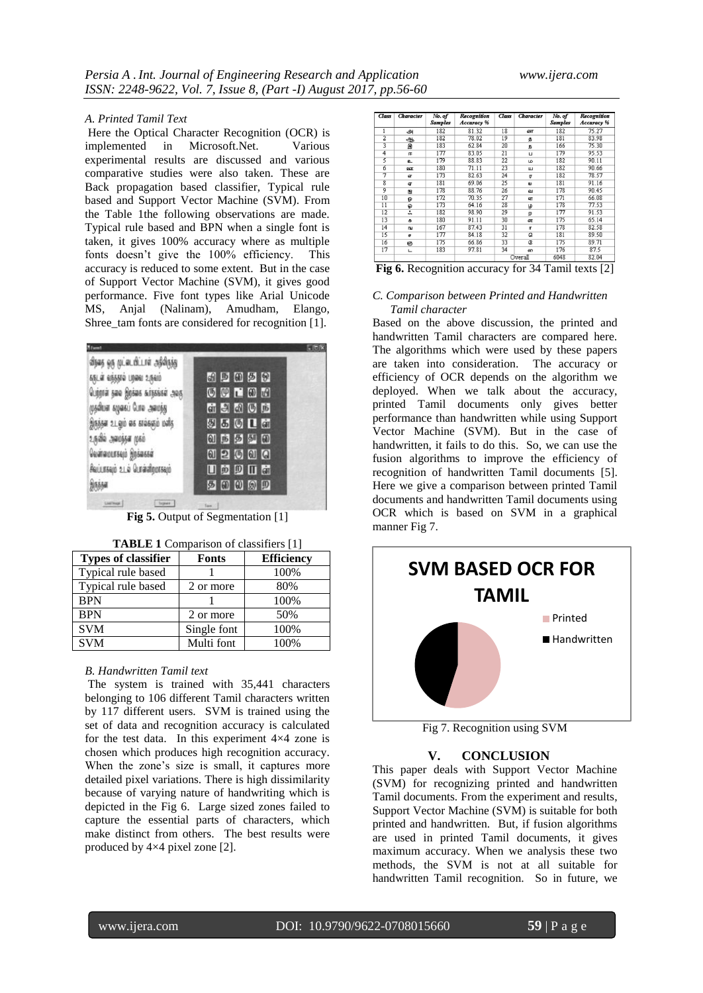#### *A. Printed Tamil Text*

Here the Optical Character Recognition (OCR) is implemented in Microsoft.Net. Various experimental results are discussed and various comparative studies were also taken. These are Back propagation based classifier, Typical rule based and Support Vector Machine (SVM). From the Table 1the following observations are made. Typical rule based and BPN when a single font is taken, it gives 100% accuracy where as multiple fonts doesn't give the 100% efficiency. This accuracy is reduced to some extent. But in the case of Support Vector Machine (SVM), it gives good performance. Five font types like Arial Unicode MS, Anjal (Nalinam), Amudham, Elango, Shree\_tam fonts are considered for recognition [1].

| <b>Riferred</b>                       |              |
|---------------------------------------|--------------|
| விநகத் ஒரு முட்டையிட்டாள் அதிகிருந்து |              |
| ANLA ANANA UNAU 2/NAI                 | 的时间要的        |
| Quigra sao gigias sississa aos        | UULOM        |
| முதலியன் கழக்கப் போல அமைந்து          | 前出的时间        |
| Anisar 21.90 as staspio only          | 9501前        |
| உருவில் அமைந்தள முகம்                 | 创造梦想的        |
| Quatra ocesaçõ Apárassa               | 02000        |
| Aniursajó 21. a Quráchoorsajó         | 山英四山高        |
| <b>Anisan</b>                         | <b>50000</b> |

**Fig 5.** Output of Segmentation [1]

| $\blacksquare$             |              |                   |  |  |  |  |
|----------------------------|--------------|-------------------|--|--|--|--|
| <b>Types of classifier</b> | <b>Fonts</b> | <b>Efficiency</b> |  |  |  |  |
| Typical rule based         |              | 100%              |  |  |  |  |
| Typical rule based         | 2 or more    | 80%               |  |  |  |  |
| <b>BPN</b>                 |              | 100%              |  |  |  |  |
| <b>BPN</b>                 | 2 or more    | 50%               |  |  |  |  |
| <b>SVM</b>                 | Single font  | 100%              |  |  |  |  |
| <b>SVM</b>                 | Multi font   | 100%              |  |  |  |  |

|  |  | <b>TABLE 1</b> Comparison of classifiers [1] |  |
|--|--|----------------------------------------------|--|
|--|--|----------------------------------------------|--|

#### *B. Handwritten Tamil text*

The system is trained with 35,441 characters belonging to 106 different Tamil characters written by 117 different users. SVM is trained using the set of data and recognition accuracy is calculated for the test data. In this experiment 4×4 zone is chosen which produces high recognition accuracy. When the zone's size is small, it captures more detailed pixel variations. There is high dissimilarity because of varying nature of handwriting which is depicted in the Fig 6. Large sized zones failed to capture the essential parts of characters, which make distinct from others. The best results were produced by 4×4 pixel zone [2].

| Class           | Character       | No. of<br><b>Samples</b> | Recognition<br>Accuracy % | Class | <b>Character</b> | No. of<br>Samples | Recognition<br>Accuracy % |
|-----------------|-----------------|--------------------------|---------------------------|-------|------------------|-------------------|---------------------------|
| 1               | அ               | 182                      | 81.32                     | 18    | <b>GBT</b>       | 182               | 75.27                     |
| $\overline{2}$  | ஆ               | 182                      | 78.02                     | 19    | ø                | 181               | 83.98                     |
| $\overline{3}$  | Я               | 183                      | 62.84                     | 20    | Б                | 166               | 75.30                     |
| $\overline{4}$  | 圧               | 177                      | 83.05                     | 21    | Ш                | 179               | 95.53                     |
| 5               | o.              | 179                      | 88.83                     | 22    | Ш٥               | 182               | 90.11                     |
| 6               | 25              | 180                      | 71.11                     | 23    | ш                | 182               | 90.66                     |
| 7               | ଙ୍ଗ             | 173                      | 82.63                     | 24    | $\blacksquare$   | 182               | 78.57                     |
| $\overline{8}$  | ৱ               | 181                      | 69.06                     | 25    | $\omega$         | 181               | 91.16                     |
| 9               | æ               | 178                      | 88.76                     | 26    | வ                | 178               | 90.45                     |
| 10              | ଳ               | 172                      | 70.35                     | 27    | ଙ୍ଗ              | 171               | 66.08                     |
| 11              | Đ               | 173                      | 64.16                     | 28    | <b>پ</b>         | 178               | 77.53                     |
| $\overline{12}$ | ٠<br>÷          | 182                      | 98.90                     | 29    | $\omega$         | 177               | 91.53                     |
| 13              | $\ddot{\sigma}$ | 180                      | 91.11                     | 30    | <b>GNT</b>       | 175               | 65.14                     |
| 14              | <b>BU</b>       | 167                      | 87.43                     | 31    | п                | 178               | 82.58                     |
| 15              | æ               | 177                      | 84.18                     | 32    | a                | 181               | 89.50                     |
| 16              | 63              | 175                      | 66.86                     | 33    | œ                | 175               | 89.71                     |
| 17              | Щ               | 183                      | 97.81                     | 34    | ഩ                | 176               | 87.5                      |
|                 |                 |                          |                           |       | Overall          | 6048              | 82.04                     |

| Fig 6. Recognition accuracy for 34 Tamil texts [2] |  |  |  |  |  |  |
|----------------------------------------------------|--|--|--|--|--|--|
|----------------------------------------------------|--|--|--|--|--|--|

#### *C. Comparison between Printed and Handwritten Tamil character*

Based on the above discussion, the printed and handwritten Tamil characters are compared here. The algorithms which were used by these papers are taken into consideration. The accuracy or efficiency of OCR depends on the algorithm we deployed. When we talk about the accuracy, printed Tamil documents only gives better performance than handwritten while using Support Vector Machine (SVM). But in the case of handwritten, it fails to do this. So, we can use the fusion algorithms to improve the efficiency of recognition of handwritten Tamil documents [5]. Here we give a comparison between printed Tamil documents and handwritten Tamil documents using OCR which is based on SVM in a graphical manner Fig 7.



Fig 7. Recognition using SVM

#### **V. CONCLUSION**

This paper deals with Support Vector Machine (SVM) for recognizing printed and handwritten Tamil documents. From the experiment and results, Support Vector Machine (SVM) is suitable for both printed and handwritten. But, if fusion algorithms are used in printed Tamil documents, it gives maximum accuracy. When we analysis these two methods, the SVM is not at all suitable for handwritten Tamil recognition. So in future, we